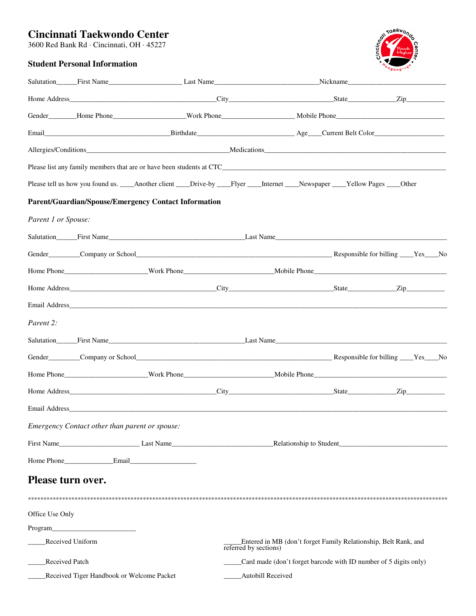# **Cincinnati Taekwondo Center**

3600 Red Bank Rd · Cincinnati, OH · 45227



## **Student Personal Information**

|                                                                      |         |                                                             |                       | Email Birthdate Birthdate Age Current Belt Color                                                                                                                                                                               |  |  |  |  |  |
|----------------------------------------------------------------------|---------|-------------------------------------------------------------|-----------------------|--------------------------------------------------------------------------------------------------------------------------------------------------------------------------------------------------------------------------------|--|--|--|--|--|
|                                                                      |         |                                                             |                       |                                                                                                                                                                                                                                |  |  |  |  |  |
| Please list any family members that are or have been students at CTC |         |                                                             |                       |                                                                                                                                                                                                                                |  |  |  |  |  |
|                                                                      |         |                                                             |                       | Please tell us how you found us. ___Another client ___Drive-by ___Flyer ___Internet ___Newspaper ___Yellow Pages ___Other                                                                                                      |  |  |  |  |  |
|                                                                      |         | <b>Parent/Guardian/Spouse/Emergency Contact Information</b> |                       |                                                                                                                                                                                                                                |  |  |  |  |  |
| Parent 1 or Spouse:                                                  |         |                                                             |                       |                                                                                                                                                                                                                                |  |  |  |  |  |
|                                                                      |         |                                                             |                       | Salutation First Name Last Name Last Name Last Name                                                                                                                                                                            |  |  |  |  |  |
|                                                                      |         |                                                             |                       | Gender Company or School Company or School Company or School Company or School Company or School Company or School Company or School Company or School Company or School Company or School Company or School Company or School |  |  |  |  |  |
|                                                                      |         |                                                             |                       |                                                                                                                                                                                                                                |  |  |  |  |  |
|                                                                      |         |                                                             |                       |                                                                                                                                                                                                                                |  |  |  |  |  |
|                                                                      |         |                                                             |                       |                                                                                                                                                                                                                                |  |  |  |  |  |
| Parent 2:                                                            |         |                                                             |                       |                                                                                                                                                                                                                                |  |  |  |  |  |
|                                                                      |         |                                                             |                       |                                                                                                                                                                                                                                |  |  |  |  |  |
|                                                                      |         |                                                             |                       | Gender Company or School Company or School Company or School Company or School Company or School Company or School Company or School Company or School Company or School Company or School Company or School Company or School |  |  |  |  |  |
|                                                                      |         |                                                             |                       |                                                                                                                                                                                                                                |  |  |  |  |  |
|                                                                      |         |                                                             |                       |                                                                                                                                                                                                                                |  |  |  |  |  |
|                                                                      |         |                                                             |                       |                                                                                                                                                                                                                                |  |  |  |  |  |
|                                                                      |         |                                                             |                       |                                                                                                                                                                                                                                |  |  |  |  |  |
|                                                                      |         | Emergency Contact other than parent or spouse:              |                       |                                                                                                                                                                                                                                |  |  |  |  |  |
|                                                                      |         |                                                             |                       |                                                                                                                                                                                                                                |  |  |  |  |  |
|                                                                      |         |                                                             |                       |                                                                                                                                                                                                                                |  |  |  |  |  |
| Please turn over.                                                    |         |                                                             |                       |                                                                                                                                                                                                                                |  |  |  |  |  |
|                                                                      |         |                                                             |                       |                                                                                                                                                                                                                                |  |  |  |  |  |
| Office Use Only                                                      |         |                                                             |                       |                                                                                                                                                                                                                                |  |  |  |  |  |
|                                                                      | Program |                                                             |                       |                                                                                                                                                                                                                                |  |  |  |  |  |
| Received Uniform                                                     |         |                                                             | referred by sections) | Entered in MB (don't forget Family Relationship, Belt Rank, and                                                                                                                                                                |  |  |  |  |  |
| <b>Received Patch</b>                                                |         |                                                             |                       | Card made (don't forget barcode with ID number of 5 digits only)                                                                                                                                                               |  |  |  |  |  |